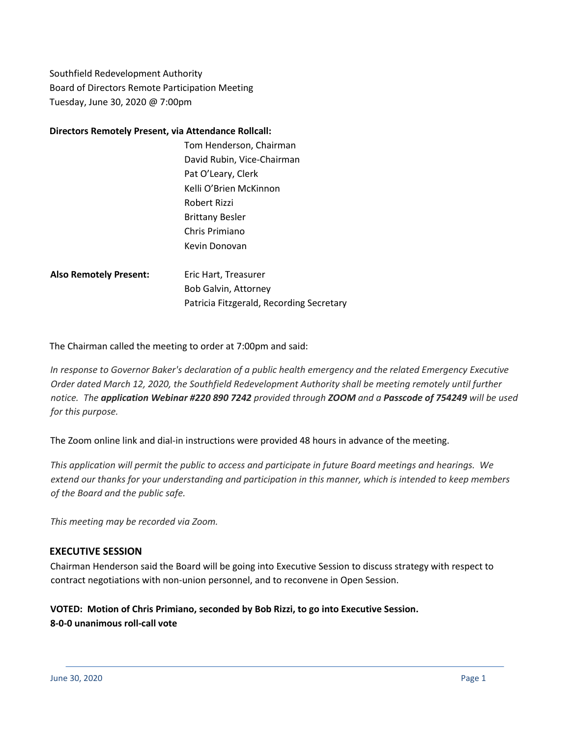Southfield Redevelopment Authority Board of Directors Remote Participation Meeting Tuesday, June 30, 2020 @ 7:00pm

## **Directors Remotely Present, via Attendance Rollcall:**

Tom Henderson, Chairman David Rubin, Vice-Chairman Pat O'Leary, Clerk Kelli O'Brien McKinnon Robert Rizzi Brittany Besler Chris Primiano Kevin Donovan

Also Remotely Present: Eric Hart, Treasurer Bob Galvin, Attorney Patricia Fitzgerald, Recording Secretary

The Chairman called the meeting to order at 7:00pm and said:

*In response to Governor Baker's declaration of a public health emergency and the related Emergency Executive Order dated March 12, 2020, the Southfield Redevelopment Authority shall be meeting remotely until further* notice. The application Webinar #220 890 7242 provided through ZOOM and a Passcode of 754249 will be used *for this purpose.*

The Zoom online link and dial-in instructions were provided 48 hours in advance of the meeting.

This application will permit the public to access and participate in future Board meetings and hearings. We extend our thanks for your understanding and participation in this manner, which is intended to keep members *of the Board and the public safe.*

*This meeting may be recorded via Zoom.*

## **EXECUTIVE SESSION**

Chairman Henderson said the Board will be going into Executive Session to discuss strategy with respect to contract negotiations with non-union personnel, and to reconvene in Open Session.

## **VOTED: Motion of Chris Primiano, seconded by Bob Rizzi, to go into Executive Session. 8-0-0 unanimous roll-call vote**